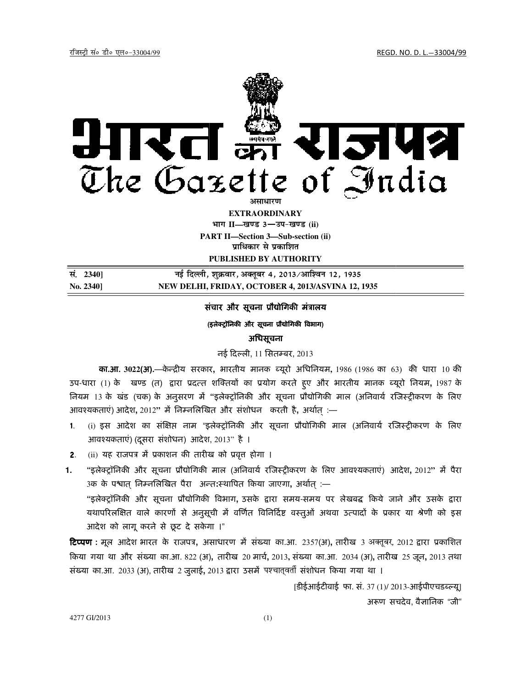# राजपत्र रित The Gazette of <u>I</u>ndia

**PART II II—Section 3—Sub-section (ii) EXTRAORDINARY Hkkx II—[k.M 3**—**mi&[k.M (ii) प्राधिकार से प्रकाशित** 

**PUBLISHED BY AUTHORITY** 

**la- 2340] ubZ fnYyh] ' ubZ fnYyh] 'kqØokj] vDrwcj 4] 2013@vkf'ou 12] 1935 No. 2340] NEW DELHI, FRIDAY, OCTOBER 4, 2013/ASVINA 12, 1935**

## संचार और सूचना प्रौद्योगिकी मंत्रालय

#### (इलेक्ट्रॉनिकी और सूचना प्रौद्योगिकी विभाग)

# अिधसूचना

# नई दिल्ली, 11 सितम्बर, 2013

**का.आ**. 3022(**अ**).—केन्द्रीय सरकार, भारतीय मानक ब्यूरो अधिनियम, 1986 (1986 का 63) की धारा 10 की उप-धारा (1) के खण्ड (त) द्वारा प्रदत्त्त शक्तियों का प्रयोग करते हुए और भारतीय मानक ब्यूरो नियम, 1987 के नियम 13 के खंड (चक) के अनुसरण में "इलेक्ट्रॉनिकी और सूचना प्रौद्योगिकी माल (अनिवार्य रजिस्ट्रीकरण के लिए आवश्यकताएं) आदेश, 2012'' में निम्नलिखित और संशोधन करती है, अर्थात् :—

- 1. (i) इस आदेश का संक्षिप्त नाम "इलेक्ट्रॉनिकी और सूचना प्रौद्योगिकी माल (अनिवार्य रजिस्ट्रीकरण के लिए आवश्यकताएं) (दूसरा संशोधन) आदेश, 2013'' है ।
- 2. (ii) यह राजपत्र में प्रकाशन की तारीख को प्रवृत्त होगा ।
- -2. (ii) यह राजपत्र मे प्रकाशन की तारीख को प्रवृत्त होगा ।<br>**1.** "इलेक्ट्रॉनिकी और सूचना प्रौद्योगिकी माल (अनिवार्य रजिस्ट्रीकरण के लिए आवश्यकताएं) आदेश, 2012" में पैरा 3क के पश्वात् निम्नलिखित पैरा अन्त:स्थापित किया जाएगा, अर्थात् :—

"इलेक्ट्रॉनिकी और सूचना प्रौद्योगिकी विभाग, उसके द्वारा समय-समय पर लेखबद्ध किये जाने और उसके द्वारा यथापरिलक्षित वाले कारणों से अनुसूची में वर्णित विनिर्दिष्ट वस्तुओं अथवा उत्पादों के प्रकार या श्रेणी को इस आदेश को लागू करने से छूट दे सकेगा ।"

**टिप्पण** : मूल आदेश भारत के राजपत्र, असाधारण में संख्या का.आ. 2357(अ), तारीख 3 अक्तूबर, 2012 द्वारा प्रकाशित किया गया था और संख्या का.आ. 822 (अ), तारीख 20 मार्च, 2013, संख्या का.आ. 2034 (अ), तारीख 25 जून, 2013 तथा संख्या का.आ. 2033 (अ), तारीख 2 जुलाई**,** 2013 द्वारा उसमें पश्चात्**वर्ती संशोधन किया गया था** ।

> [डीईआईटीवाई फा. सं. 37 (1)/ 2013-आईपीएचडब्ल्यू] अरूण सचदेव, वैज्ञानिक "जी"

4277 GI/2013